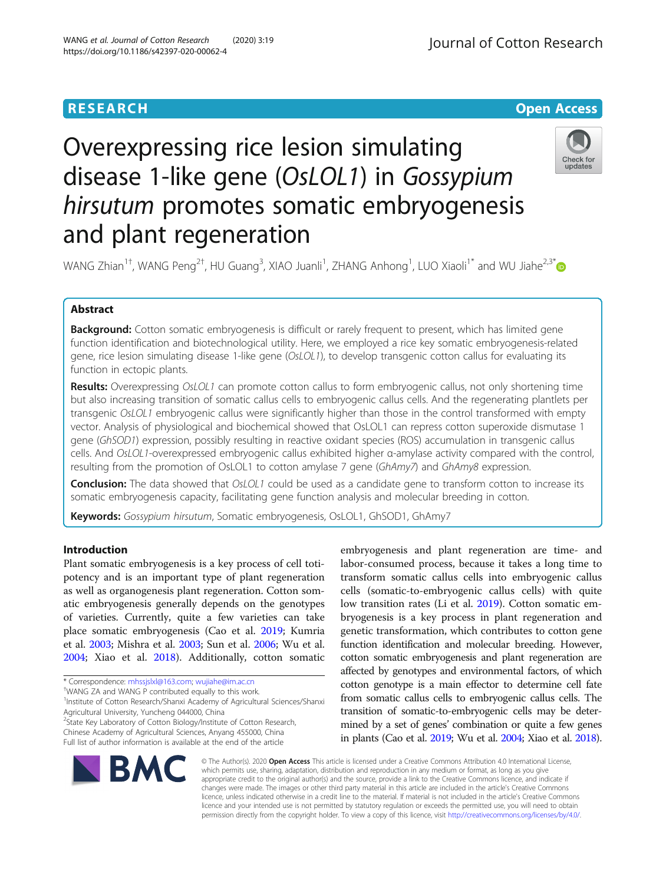**RESEARCH CHE Open Access** 

# Overexpressing rice lesion simulating disease 1-like gene (OsLOL1) in Gossypium hirsutum promotes somatic embryogenesis and plant regeneration



WANG Zhian $^{1\dagger}$ , WANG Peng $^{2\dagger}$ , HU Guang $^3$ , XIAO Juanli $^1$ , ZHANG Anhong $^1$ , LUO Xiaoli $^{1^\ast}$  and WU Jiahe $^{2,3^\ast}$ 

# Abstract

Background: Cotton somatic embryogenesis is difficult or rarely frequent to present, which has limited gene function identification and biotechnological utility. Here, we employed a rice key somatic embryogenesis-related gene, rice lesion simulating disease 1-like gene (OsLOL1), to develop transgenic cotton callus for evaluating its function in ectopic plants.

Results: Overexpressing OsLOL1 can promote cotton callus to form embryogenic callus, not only shortening time but also increasing transition of somatic callus cells to embryogenic callus cells. And the regenerating plantlets per transgenic OsLOL1 embryogenic callus were significantly higher than those in the control transformed with empty vector. Analysis of physiological and biochemical showed that OsLOL1 can repress cotton superoxide dismutase 1 gene (GhSOD1) expression, possibly resulting in reactive oxidant species (ROS) accumulation in transgenic callus cells. And OsLOL1-overexpressed embryogenic callus exhibited higher α-amylase activity compared with the control, resulting from the promotion of OsLOL1 to cotton amylase 7 gene (GhAmy7) and GhAmy8 expression.

**Conclusion:** The data showed that OsLOL1 could be used as a candidate gene to transform cotton to increase its somatic embryogenesis capacity, facilitating gene function analysis and molecular breeding in cotton.

Keywords: Gossypium hirsutum, Somatic embryogenesis, OsLOL1, GhSOD1, GhAmy7

# Introduction

Plant somatic embryogenesis is a key process of cell totipotency and is an important type of plant regeneration as well as organogenesis plant regeneration. Cotton somatic embryogenesis generally depends on the genotypes of varieties. Currently, quite a few varieties can take place somatic embryogenesis (Cao et al. [2019](#page-6-0); Kumria et al. [2003](#page-6-0); Mishra et al. [2003;](#page-6-0) Sun et al. [2006;](#page-6-0) Wu et al. [2004](#page-6-0); Xiao et al. [2018](#page-6-0)). Additionally, cotton somatic

\* Correspondence: [mhssjslxl@163.com](mailto:mhssjslxl@163.com); [wujiahe@im.ac.cn](mailto:wujiahe@im.ac.cn) †

<sup>1</sup>Institute of Cotton Research/Shanxi Academy of Agricultural Sciences/Shanxi Agricultural University, Yuncheng 044000, China

<sup>2</sup>State Key Laboratory of Cotton Biology/Institute of Cotton Research, Chinese Academy of Agricultural Sciences, Anyang 455000, China

Full list of author information is available at the end of the article

embryogenesis and plant regeneration are time- and labor-consumed process, because it takes a long time to transform somatic callus cells into embryogenic callus cells (somatic-to-embryogenic callus cells) with quite low transition rates (Li et al. [2019](#page-6-0)). Cotton somatic embryogenesis is a key process in plant regeneration and genetic transformation, which contributes to cotton gene function identification and molecular breeding. However, cotton somatic embryogenesis and plant regeneration are affected by genotypes and environmental factors, of which cotton genotype is a main effector to determine cell fate from somatic callus cells to embryogenic callus cells. The transition of somatic-to-embryogenic cells may be determined by a set of genes' combination or quite a few genes in plants (Cao et al. [2019;](#page-6-0) Wu et al. [2004;](#page-6-0) Xiao et al. [2018](#page-6-0)).



© The Author(s). 2020 Open Access This article is licensed under a Creative Commons Attribution 4.0 International License, which permits use, sharing, adaptation, distribution and reproduction in any medium or format, as long as you give appropriate credit to the original author(s) and the source, provide a link to the Creative Commons licence, and indicate if changes were made. The images or other third party material in this article are included in the article's Creative Commons licence, unless indicated otherwise in a credit line to the material. If material is not included in the article's Creative Commons licence and your intended use is not permitted by statutory regulation or exceeds the permitted use, you will need to obtain permission directly from the copyright holder. To view a copy of this licence, visit [http://creativecommons.org/licenses/by/4.0/.](http://creativecommons.org/licenses/by/4.0/)

WANG ZA and WANG P contributed equally to this work.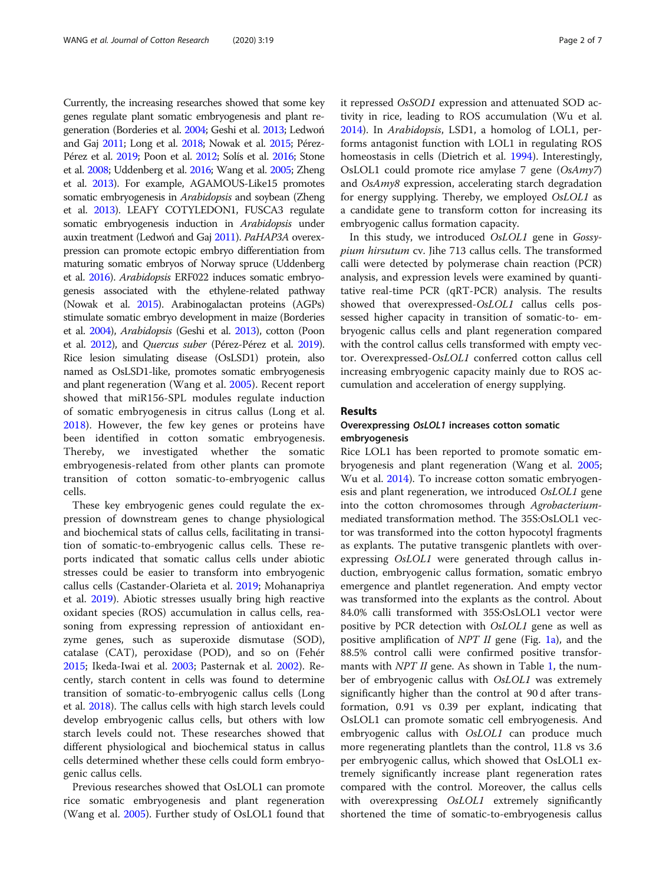Currently, the increasing researches showed that some key genes regulate plant somatic embryogenesis and plant regeneration (Borderies et al. [2004;](#page-6-0) Geshi et al. [2013](#page-6-0); Ledwoń and Gaj [2011;](#page-6-0) Long et al. [2018](#page-6-0); Nowak et al. [2015](#page-6-0); Pérez-Pérez et al. [2019](#page-6-0); Poon et al. [2012](#page-6-0); Solís et al. [2016;](#page-6-0) Stone et al. [2008](#page-6-0); Uddenberg et al. [2016;](#page-6-0) Wang et al. [2005;](#page-6-0) Zheng et al. [2013\)](#page-6-0). For example, AGAMOUS-Like15 promotes somatic embryogenesis in Arabidopsis and soybean (Zheng et al. [2013\)](#page-6-0). LEAFY COTYLEDON1, FUSCA3 regulate somatic embryogenesis induction in Arabidopsis under auxin treatment (Ledwoń and Gaj [2011\)](#page-6-0). PaHAP3A overexpression can promote ectopic embryo differentiation from maturing somatic embryos of Norway spruce (Uddenberg et al. [2016](#page-6-0)). Arabidopsis ERF022 induces somatic embryogenesis associated with the ethylene-related pathway (Nowak et al. [2015\)](#page-6-0). Arabinogalactan proteins (AGPs) stimulate somatic embryo development in maize (Borderies et al. [2004\)](#page-6-0), Arabidopsis (Geshi et al. [2013](#page-6-0)), cotton (Poon et al. [2012\)](#page-6-0), and Quercus suber (Pérez-Pérez et al. [2019](#page-6-0)). Rice lesion simulating disease (OsLSD1) protein, also named as OsLSD1-like, promotes somatic embryogenesis and plant regeneration (Wang et al. [2005](#page-6-0)). Recent report showed that miR156-SPL modules regulate induction of somatic embryogenesis in citrus callus (Long et al. [2018\)](#page-6-0). However, the few key genes or proteins have been identified in cotton somatic embryogenesis. Thereby, we investigated whether the somatic embryogenesis-related from other plants can promote transition of cotton somatic-to-embryogenic callus cells.

These key embryogenic genes could regulate the expression of downstream genes to change physiological and biochemical stats of callus cells, facilitating in transition of somatic-to-embryogenic callus cells. These reports indicated that somatic callus cells under abiotic stresses could be easier to transform into embryogenic callus cells (Castander-Olarieta et al. [2019](#page-6-0); Mohanapriya et al. [2019](#page-6-0)). Abiotic stresses usually bring high reactive oxidant species (ROS) accumulation in callus cells, reasoning from expressing repression of antioxidant enzyme genes, such as superoxide dismutase (SOD), catalase (CAT), peroxidase (POD), and so on (Fehér [2015](#page-6-0); Ikeda-Iwai et al. [2003](#page-6-0); Pasternak et al. [2002](#page-6-0)). Recently, starch content in cells was found to determine transition of somatic-to-embryogenic callus cells (Long et al. [2018\)](#page-6-0). The callus cells with high starch levels could develop embryogenic callus cells, but others with low starch levels could not. These researches showed that different physiological and biochemical status in callus cells determined whether these cells could form embryogenic callus cells.

Previous researches showed that OsLOL1 can promote rice somatic embryogenesis and plant regeneration (Wang et al. [2005](#page-6-0)). Further study of OsLOL1 found that it repressed OsSOD1 expression and attenuated SOD activity in rice, leading to ROS accumulation (Wu et al. [2014](#page-6-0)). In Arabidopsis, LSD1, a homolog of LOL1, performs antagonist function with LOL1 in regulating ROS homeostasis in cells (Dietrich et al. [1994](#page-6-0)). Interestingly, OsLOL1 could promote rice amylase 7 gene (OsAmy7) and OsAmy8 expression, accelerating starch degradation for energy supplying. Thereby, we employed OsLOL1 as a candidate gene to transform cotton for increasing its embryogenic callus formation capacity.

In this study, we introduced OsLOL1 gene in Gossypium hirsutum cv. Jihe 713 callus cells. The transformed calli were detected by polymerase chain reaction (PCR) analysis, and expression levels were examined by quantitative real-time PCR (qRT-PCR) analysis. The results showed that overexpressed-OsLOL1 callus cells possessed higher capacity in transition of somatic-to- embryogenic callus cells and plant regeneration compared with the control callus cells transformed with empty vector. Overexpressed-OsLOL1 conferred cotton callus cell increasing embryogenic capacity mainly due to ROS accumulation and acceleration of energy supplying.

# Results

# Overexpressing OsLOL1 increases cotton somatic embryogenesis

Rice LOL1 has been reported to promote somatic embryogenesis and plant regeneration (Wang et al. [2005](#page-6-0); Wu et al. [2014\)](#page-6-0). To increase cotton somatic embryogenesis and plant regeneration, we introduced OsLOL1 gene into the cotton chromosomes through Agrobacteriummediated transformation method. The 35S:OsLOL1 vector was transformed into the cotton hypocotyl fragments as explants. The putative transgenic plantlets with overexpressing OsLOL1 were generated through callus induction, embryogenic callus formation, somatic embryo emergence and plantlet regeneration. And empty vector was transformed into the explants as the control. About 84.0% calli transformed with 35S:OsLOL1 vector were positive by PCR detection with OsLOL1 gene as well as positive amplification of NPT II gene (Fig. [1a](#page-2-0)), and the 88.5% control calli were confirmed positive transformants with  $NPT$  II gene. As shown in Table [1,](#page-2-0) the number of embryogenic callus with OsLOL1 was extremely significantly higher than the control at 90 d after transformation, 0.91 vs 0.39 per explant, indicating that OsLOL1 can promote somatic cell embryogenesis. And embryogenic callus with OsLOL1 can produce much more regenerating plantlets than the control, 11.8 vs 3.6 per embryogenic callus, which showed that OsLOL1 extremely significantly increase plant regeneration rates compared with the control. Moreover, the callus cells with overexpressing *OsLOL1* extremely significantly shortened the time of somatic-to-embryogenesis callus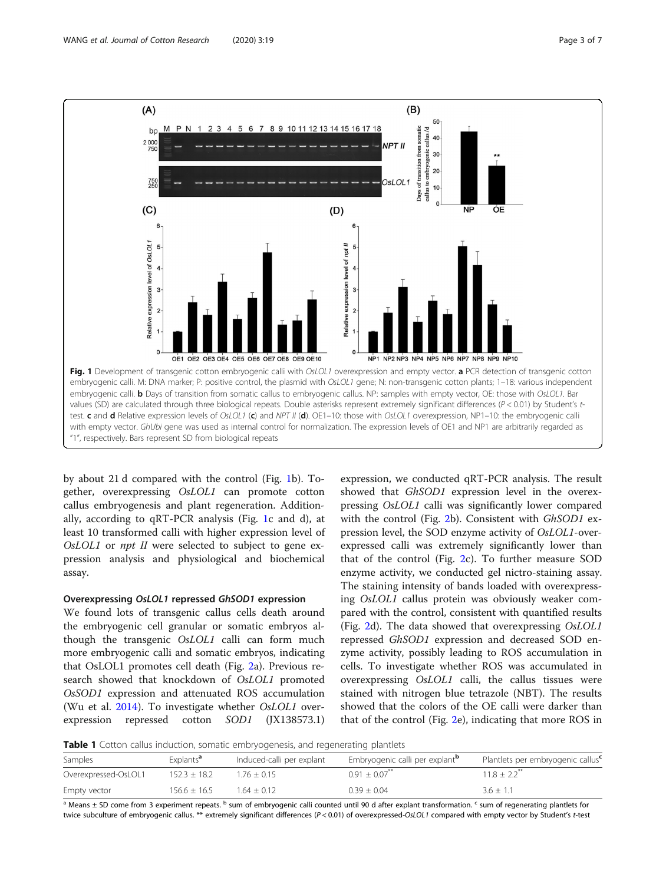<span id="page-2-0"></span>

by about 21 d compared with the control (Fig. 1b). Together, overexpressing OsLOL1 can promote cotton callus embryogenesis and plant regeneration. Additionally, according to qRT-PCR analysis (Fig. 1c and d), at least 10 transformed calli with higher expression level of OsLOL1 or npt II were selected to subject to gene expression analysis and physiological and biochemical assay.

# Overexpressing OsLOL1 repressed GhSOD1 expression

We found lots of transgenic callus cells death around the embryogenic cell granular or somatic embryos although the transgenic OsLOL1 calli can form much more embryogenic calli and somatic embryos, indicating that OsLOL1 promotes cell death (Fig. [2](#page-3-0)a). Previous research showed that knockdown of OsLOL1 promoted OsSOD1 expression and attenuated ROS accumulation (Wu et al. [2014](#page-6-0)). To investigate whether OsLOL1 overexpression repressed cotton SOD1 (JX138573.1)

expression, we conducted qRT-PCR analysis. The result showed that GhSOD1 expression level in the overexpressing OsLOL1 calli was significantly lower compared with the control (Fig. [2b](#page-3-0)). Consistent with GhSOD1 expression level, the SOD enzyme activity of OsLOL1-overexpressed calli was extremely significantly lower than that of the control (Fig. [2c](#page-3-0)). To further measure SOD enzyme activity, we conducted gel nictro-staining assay. The staining intensity of bands loaded with overexpressing OsLOL1 callus protein was obviously weaker compared with the control, consistent with quantified results (Fig. [2](#page-3-0)d). The data showed that overexpressing OsLOL1 repressed GhSOD1 expression and decreased SOD enzyme activity, possibly leading to ROS accumulation in cells. To investigate whether ROS was accumulated in overexpressing OsLOL1 calli, the callus tissues were stained with nitrogen blue tetrazole (NBT). The results showed that the colors of the OE calli were darker than that of the control (Fig. [2](#page-3-0)e), indicating that more ROS in

**Table 1** Cotton callus induction, somatic embryogenesis, and regenerating plantlets

| Samples              | Explants <sup>a</sup> | Induced-calli per explant | Embryogenic calli per explant <sup>p</sup> | Plantlets per embryogenic callus <sup>c</sup> |
|----------------------|-----------------------|---------------------------|--------------------------------------------|-----------------------------------------------|
| Overexpressed-OsLOL1 | $152.3 + 18.2$        | $.76 + 0.15$              | $0.91 + 0.07$ <sup>**</sup>                | $11.8 + 2.2$ <sup>**</sup>                    |
| Empty vector         | $156.6 \pm 16.5$      | $1.64 + 0.12$             | $0.39 + 0.04$                              | $3.6 \pm 1.1$                                 |

a Means ± SD come from 3 experiment repeats. <sup>b</sup> sum of embryogenic calli counted until 90 d after explant transformation. <sup>c</sup> sum of regenerating plantlets for twice subculture of embryogenic callus. \*\* extremely significant differences (P < 0.01) of overexpressed-OsLOL1 compared with empty vector by Student's t-test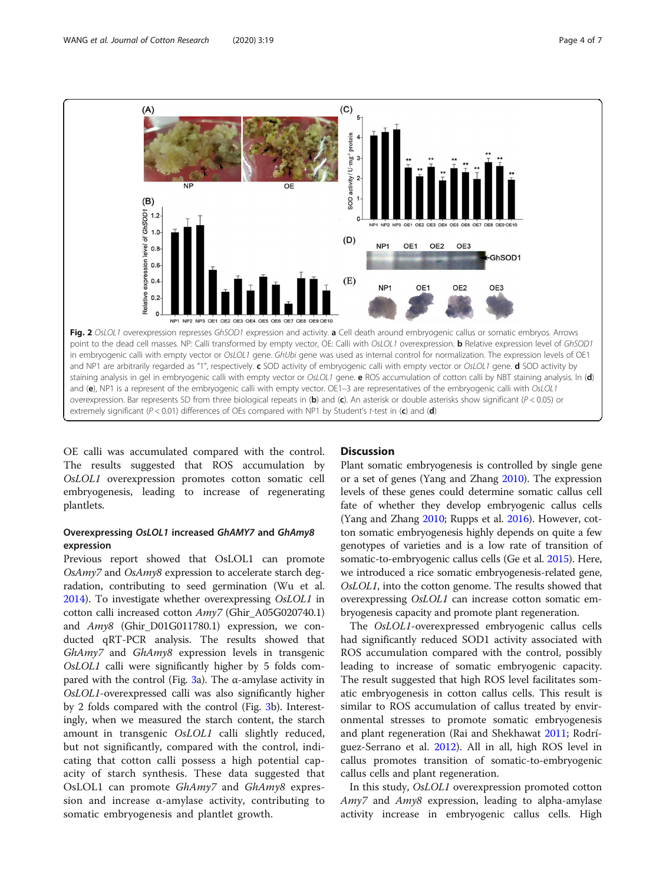

<span id="page-3-0"></span>

OE calli was accumulated compared with the control. The results suggested that ROS accumulation by OsLOL1 overexpression promotes cotton somatic cell embryogenesis, leading to increase of regenerating plantlets.

# Overexpressing OsLOL1 increased GhAMY7 and GhAmy8 expression

Previous report showed that OsLOL1 can promote OsAmy7 and OsAmy8 expression to accelerate starch degradation, contributing to seed germination (Wu et al. [2014\)](#page-6-0). To investigate whether overexpressing OsLOL1 in cotton calli increased cotton Amy7 (Ghir\_A05G020740.1) and Amy8 (Ghir\_D01G011780.1) expression, we conducted qRT-PCR analysis. The results showed that GhAmy7 and GhAmy8 expression levels in transgenic OsLOL1 calli were significantly higher by 5 folds com-pared with the control (Fig. [3a](#page-4-0)). The α-amylase activity in OsLOL1-overexpressed calli was also significantly higher by 2 folds compared with the control (Fig. [3](#page-4-0)b). Interestingly, when we measured the starch content, the starch amount in transgenic OsLOL1 calli slightly reduced, but not significantly, compared with the control, indicating that cotton calli possess a high potential capacity of starch synthesis. These data suggested that OsLOL1 can promote GhAmy7 and GhAmy8 expression and increase  $\alpha$ -amylase activity, contributing to somatic embryogenesis and plantlet growth.

# **Discussion**

Plant somatic embryogenesis is controlled by single gene or a set of genes (Yang and Zhang [2010](#page-6-0)). The expression levels of these genes could determine somatic callus cell fate of whether they develop embryogenic callus cells (Yang and Zhang [2010](#page-6-0); Rupps et al. [2016](#page-6-0)). However, cotton somatic embryogenesis highly depends on quite a few genotypes of varieties and is a low rate of transition of somatic-to-embryogenic callus cells (Ge et al. [2015\)](#page-6-0). Here, we introduced a rice somatic embryogenesis-related gene, OsLOL1, into the cotton genome. The results showed that overexpressing OsLOL1 can increase cotton somatic embryogenesis capacity and promote plant regeneration.

The OsLOL1-overexpressed embryogenic callus cells had significantly reduced SOD1 activity associated with ROS accumulation compared with the control, possibly leading to increase of somatic embryogenic capacity. The result suggested that high ROS level facilitates somatic embryogenesis in cotton callus cells. This result is similar to ROS accumulation of callus treated by environmental stresses to promote somatic embryogenesis and plant regeneration (Rai and Shekhawat [2011;](#page-6-0) Rodríguez-Serrano et al. [2012](#page-6-0)). All in all, high ROS level in callus promotes transition of somatic-to-embryogenic callus cells and plant regeneration.

In this study, OsLOL1 overexpression promoted cotton *Amy7* and *Amy8* expression, leading to alpha-amylase activity increase in embryogenic callus cells. High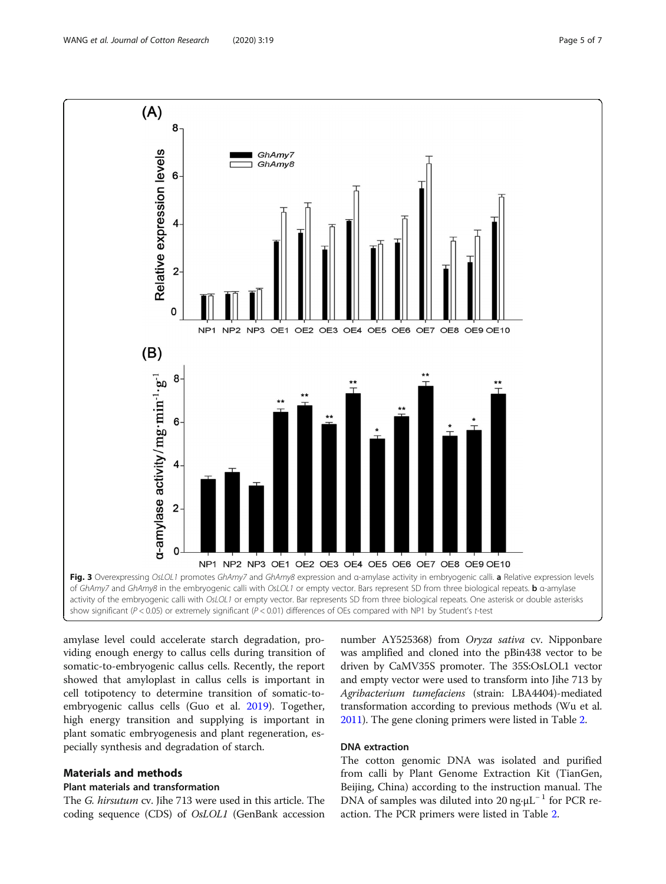<span id="page-4-0"></span>

amylase level could accelerate starch degradation, providing enough energy to callus cells during transition of somatic-to-embryogenic callus cells. Recently, the report showed that amyloplast in callus cells is important in cell totipotency to determine transition of somatic-toembryogenic callus cells (Guo et al. [2019](#page-6-0)). Together, high energy transition and supplying is important in plant somatic embryogenesis and plant regeneration, especially synthesis and degradation of starch.

# Materials and methods

# Plant materials and transformation

The G. hirsutum cv. Jihe 713 were used in this article. The coding sequence (CDS) of OsLOL1 (GenBank accession

number AY525368) from Oryza sativa cv. Nipponbare was amplified and cloned into the pBin438 vector to be driven by CaMV35S promoter. The 35S:OsLOL1 vector and empty vector were used to transform into Jihe 713 by Agribacterium tumefaciens (strain: LBA4404)-mediated transformation according to previous methods (Wu et al. [2011\)](#page-6-0). The gene cloning primers were listed in Table [2](#page-5-0).

# DNA extraction

The cotton genomic DNA was isolated and purified from calli by Plant Genome Extraction Kit (TianGen, Beijing, China) according to the instruction manual. The DNA of samples was diluted into 20 ng⋅ $\mu$ L<sup>-1</sup> for PCR reaction. The PCR primers were listed in Table [2](#page-5-0).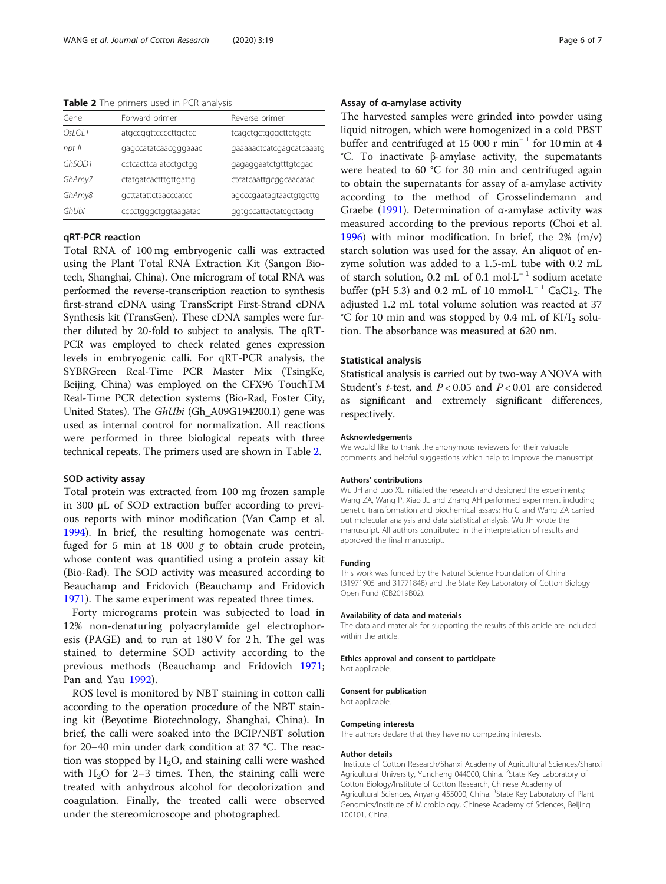<span id="page-5-0"></span>Table 2 The primers used in PCR analysis

| Gene   | Forward primer        | Reverse primer           |
|--------|-----------------------|--------------------------|
| OsLOL1 | atgccggttccccttgctcc  | tcagctgctgggcttctggtc    |
| npt II | gagccatatcaacgggaaac  | gaaaaactcatcgagcatcaaatg |
| GhSOD1 | cctcacttca atcctgctgg | gagaggaatctgtttgtcgac    |
| GhAmy7 | ctatgatcactttgttgattg | ctcatcaattgcggcaacatac   |
| GhAmy8 | gcttatattctaacccatcc  | agcccgaatagtaactgtgcttg  |
| GhUbi  | cccctgggctggtaagatac  | ggtgccattactatcgctactg   |

# qRT-PCR reaction

Total RNA of 100 mg embryogenic calli was extracted using the Plant Total RNA Extraction Kit (Sangon Biotech, Shanghai, China). One microgram of total RNA was performed the reverse-transcription reaction to synthesis first-strand cDNA using TransScript First-Strand cDNA Synthesis kit (TransGen). These cDNA samples were further diluted by 20-fold to subject to analysis. The qRT-PCR was employed to check related genes expression levels in embryogenic calli. For qRT-PCR analysis, the SYBRGreen Real-Time PCR Master Mix (TsingKe, Beijing, China) was employed on the CFX96 TouchTM Real-Time PCR detection systems (Bio-Rad, Foster City, United States). The GhUbi (Gh\_A09G194200.1) gene was used as internal control for normalization. All reactions were performed in three biological repeats with three technical repeats. The primers used are shown in Table 2.

# SOD activity assay

Total protein was extracted from 100 mg frozen sample in 300 μL of SOD extraction buffer according to previous reports with minor modification (Van Camp et al. [1994](#page-6-0)). In brief, the resulting homogenate was centrifuged for 5 min at 18 000  $g$  to obtain crude protein, whose content was quantified using a protein assay kit (Bio-Rad). The SOD activity was measured according to Beauchamp and Fridovich (Beauchamp and Fridovich [1971](#page-6-0)). The same experiment was repeated three times.

Forty micrograms protein was subjected to load in 12% non-denaturing polyacrylamide gel electrophoresis (PAGE) and to run at 180 V for 2 h. The gel was stained to determine SOD activity according to the previous methods (Beauchamp and Fridovich [1971](#page-6-0); Pan and Yau [1992](#page-6-0)).

ROS level is monitored by NBT staining in cotton calli according to the operation procedure of the NBT staining kit (Beyotime Biotechnology, Shanghai, China). In brief, the calli were soaked into the BCIP/NBT solution for 20–40 min under dark condition at 37 °C. The reaction was stopped by  $H_2O$ , and staining calli were washed with  $H_2O$  for 2–3 times. Then, the staining calli were treated with anhydrous alcohol for decolorization and coagulation. Finally, the treated calli were observed under the stereomicroscope and photographed.

# Assay of α-amylase activity

The harvested samples were grinded into powder using liquid nitrogen, which were homogenized in a cold PBST buffer and centrifuged at 15 000 r min<sup>−</sup> <sup>1</sup> for 10 min at 4 °C. To inactivate β-amylase activity, the supematants were heated to 60 °C for 30 min and centrifuged again to obtain the supernatants for assay of a-amylase activity according to the method of Grosselindemann and Graebe [\(1991\)](#page-6-0). Determination of α-amylase activity was measured according to the previous reports (Choi et al. [1996](#page-6-0)) with minor modification. In brief, the 2% (m/v) starch solution was used for the assay. An aliquot of enzyme solution was added to a 1.5-mL tube with 0.2 mL of starch solution, 0.2 mL of 0.1 mol⋅L<sup>-1</sup> sodium acetate buffer (pH 5.3) and 0.2 mL of 10 mmol⋅L<sup>-1</sup> CaC1<sub>2</sub>. The adjusted 1.2 mL total volume solution was reacted at 37 °C for 10 min and was stopped by 0.4 mL of  $K I/I_2$  solution. The absorbance was measured at 620 nm.

## Statistical analysis

Statistical analysis is carried out by two-way ANOVA with Student's *t*-test, and  $P < 0.05$  and  $P < 0.01$  are considered as significant and extremely significant differences, respectively.

#### Acknowledgements

We would like to thank the anonymous reviewers for their valuable comments and helpful suggestions which help to improve the manuscript.

#### Authors' contributions

Wu JH and Luo XL initiated the research and designed the experiments; Wang ZA, Wang P, Xiao JL and Zhang AH performed experiment including genetic transformation and biochemical assays; Hu G and Wang ZA carried out molecular analysis and data statistical analysis. Wu JH wrote the manuscript. All authors contributed in the interpretation of results and approved the final manuscript.

# Funding

This work was funded by the Natural Science Foundation of China (31971905 and 31771848) and the State Key Laboratory of Cotton Biology Open Fund (CB2019B02).

#### Availability of data and materials

The data and materials for supporting the results of this article are included within the article.

#### Ethics approval and consent to participate

Not applicable.

#### Consent for publication

Not applicable.

## Competing interests

The authors declare that they have no competing interests.

#### Author details

<sup>1</sup>Institute of Cotton Research/Shanxi Academy of Agricultural Sciences/Shanxi Agricultural University, Yuncheng 044000, China. <sup>2</sup>State Key Laboratory of Cotton Biology/Institute of Cotton Research, Chinese Academy of Agricultural Sciences, Anyang 455000, China. <sup>3</sup>State Key Laboratory of Plant Genomics/Institute of Microbiology, Chinese Academy of Sciences, Beijing 100101, China.